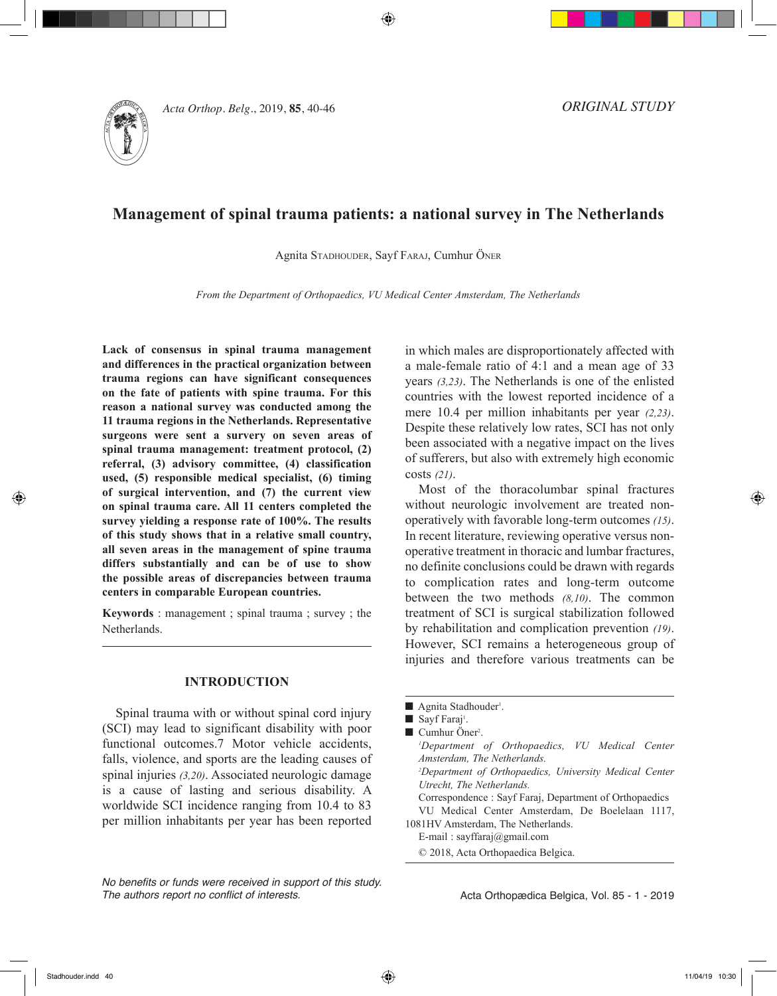

40 agnita stadhouder, sayf faraj, cumhur öner *Acta Orthop. Belg.*, 2019, **85**, 40-46

*ORIGINAL STUDY*

# **Management of spinal trauma patients: a national survey in The Netherlands**

Agnita Stadhouder, Sayf Faraj, Cumhur Öner

*From the Department of Orthopaedics, VU Medical Center Amsterdam, The Netherlands*

**Lack of consensus in spinal trauma management and differences in the practical organization between trauma regions can have significant consequences on the fate of patients with spine trauma. For this reason a national survey was conducted among the 11 trauma regions in the Netherlands. Representative surgeons were sent a survery on seven areas of spinal trauma management: treatment protocol, (2) referral, (3) advisory committee, (4) classification used, (5) responsible medical specialist, (6) timing of surgical intervention, and (7) the current view on spinal trauma care. All 11 centers completed the survey yielding a response rate of 100%. The results of this study shows that in a relative small country, all seven areas in the management of spine trauma differs substantially and can be of use to show the possible areas of discrepancies between trauma centers in comparable European countries.**

**Keywords** : management ; spinal trauma ; survey ; the Netherlands.

## **INTRODUCTION**

Spinal trauma with or without spinal cord injury (SCI) may lead to significant disability with poor functional outcomes.7 Motor vehicle accidents, falls, violence, and sports are the leading causes of spinal injuries *(3,20)*. Associated neurologic damage is a cause of lasting and serious disability. A worldwide SCI incidence ranging from 10.4 to 83 per million inhabitants per year has been reported

in which males are disproportionately affected with a male-female ratio of 4:1 and a mean age of 33 years *(3,23)*. The Netherlands is one of the enlisted countries with the lowest reported incidence of a mere 10.4 per million inhabitants per year *(2,23)*. Despite these relatively low rates, SCI has not only been associated with a negative impact on the lives of sufferers, but also with extremely high economic costs *(21)*.

Most of the thoracolumbar spinal fractures without neurologic involvement are treated nonoperatively with favorable long-term outcomes *(15)*. In recent literature, reviewing operative versus nonoperative treatment in thoracic and lumbar fractures, no definite conclusions could be drawn with regards to complication rates and long-term outcome between the two methods *(8,10)*. The common treatment of SCI is surgical stabilization followed by rehabilitation and complication prevention *(19)*. However, SCI remains a heterogeneous group of injuries and therefore various treatments can be

*No benefits or funds were received in support of this study. The authors report no conflict of interests.* 

<sup>■</sup> Agnita Stadhouder<sup>1</sup>.

Sayf Faraj<sup>1</sup>.

<sup>■</sup> Cumhur Öner<sup>2</sup>.

*<sup>1</sup> Department of Orthopaedics, VU Medical Center Amsterdam, The Netherlands. 2 Department of Orthopaedics, University Medical Center Utrecht, The Netherlands.* Correspondence : Sayf Faraj, Department of Orthopaedics VU Medical Center Amsterdam, De Boelelaan 1117, 1081HV Amsterdam, The Netherlands. E-mail : sayffaraj@gmail.com

<sup>© 2018,</sup> Acta Orthopaedica Belgica.

Acta Orthopædica Belgica, Vol. 85 - 1 - 2019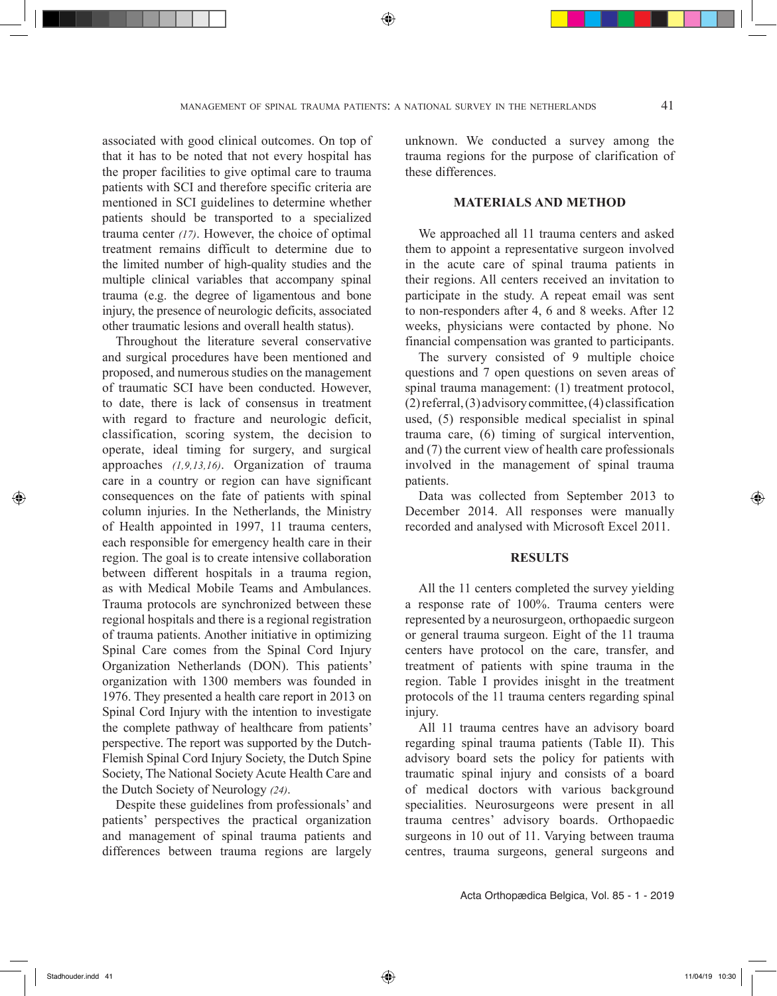associated with good clinical outcomes. On top of that it has to be noted that not every hospital has the proper facilities to give optimal care to trauma patients with SCI and therefore specific criteria are mentioned in SCI guidelines to determine whether patients should be transported to a specialized trauma center *(17)*. However, the choice of optimal treatment remains difficult to determine due to the limited number of high-quality studies and the multiple clinical variables that accompany spinal trauma (e.g. the degree of ligamentous and bone injury, the presence of neurologic deficits, associated other traumatic lesions and overall health status).

Throughout the literature several conservative and surgical procedures have been mentioned and proposed, and numerous studies on the management of traumatic SCI have been conducted. However, to date, there is lack of consensus in treatment with regard to fracture and neurologic deficit, classification, scoring system, the decision to operate, ideal timing for surgery, and surgical approaches *(1,9,13,16)*. Organization of trauma care in a country or region can have significant consequences on the fate of patients with spinal column injuries. In the Netherlands, the Ministry of Health appointed in 1997, 11 trauma centers, each responsible for emergency health care in their region. The goal is to create intensive collaboration between different hospitals in a trauma region, as with Medical Mobile Teams and Ambulances. Trauma protocols are synchronized between these regional hospitals and there is a regional registration of trauma patients. Another initiative in optimizing Spinal Care comes from the Spinal Cord Injury Organization Netherlands (DON). This patients' organization with 1300 members was founded in 1976. They presented a health care report in 2013 on Spinal Cord Injury with the intention to investigate the complete pathway of healthcare from patients' perspective. The report was supported by the Dutch-Flemish Spinal Cord Injury Society, the Dutch Spine Society, The National Society Acute Health Care and the Dutch Society of Neurology *(24)*.

Despite these guidelines from professionals' and patients' perspectives the practical organization and management of spinal trauma patients and differences between trauma regions are largely

unknown. We conducted a survey among the trauma regions for the purpose of clarification of these differences.

## **MATERIALS AND METHOD**

We approached all 11 trauma centers and asked them to appoint a representative surgeon involved in the acute care of spinal trauma patients in their regions. All centers received an invitation to participate in the study. A repeat email was sent to non-responders after 4, 6 and 8 weeks. After 12 weeks, physicians were contacted by phone. No financial compensation was granted to participants.

The survery consisted of 9 multiple choice questions and 7 open questions on seven areas of spinal trauma management: (1) treatment protocol, (2) referral, (3) advisory committee, (4) classification used, (5) responsible medical specialist in spinal trauma care, (6) timing of surgical intervention, and (7) the current view of health care professionals involved in the management of spinal trauma patients.

Data was collected from September 2013 to December 2014. All responses were manually recorded and analysed with Microsoft Excel 2011.

#### **RESULTS**

All the 11 centers completed the survey yielding a response rate of 100%. Trauma centers were represented by a neurosurgeon, orthopaedic surgeon or general trauma surgeon. Eight of the 11 trauma centers have protocol on the care, transfer, and treatment of patients with spine trauma in the region. Table I provides inisght in the treatment protocols of the 11 trauma centers regarding spinal injury.

All 11 trauma centres have an advisory board regarding spinal trauma patients (Table II). This advisory board sets the policy for patients with traumatic spinal injury and consists of a board of medical doctors with various background specialities. Neurosurgeons were present in all trauma centres' advisory boards. Orthopaedic surgeons in 10 out of 11. Varying between trauma centres, trauma surgeons, general surgeons and

Acta Orthopædica Belgica, Vol. 85 - 1 - 2019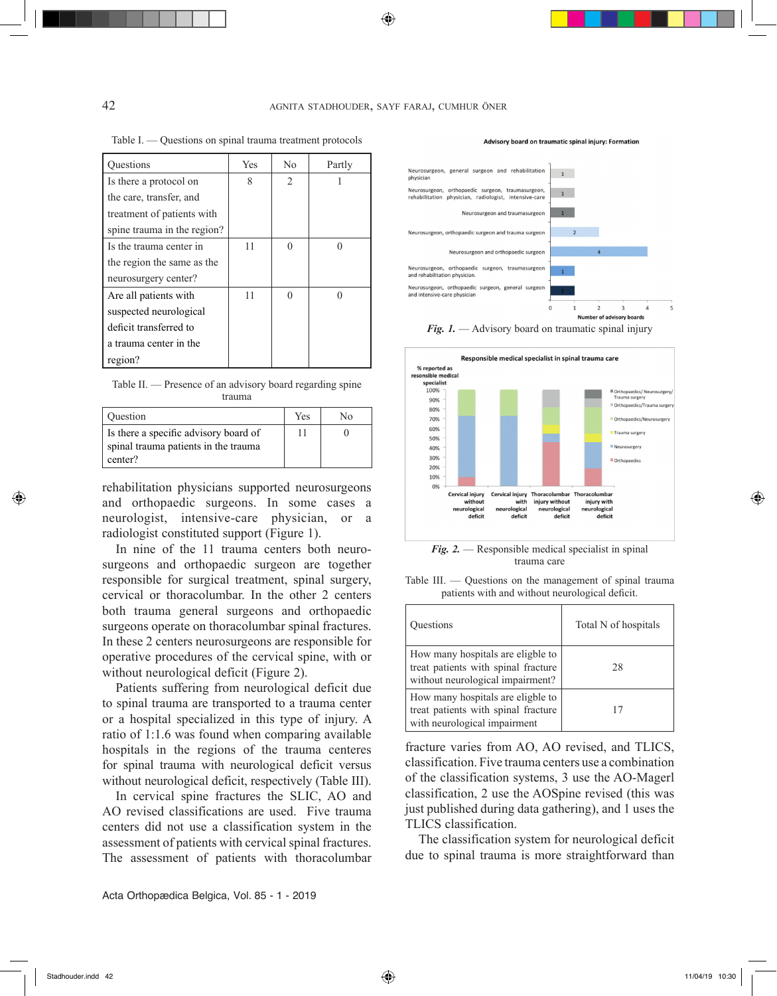$\bigoplus$ 

Table I. — Questions on spinal trauma treatment protocols

| <b>Ouestions</b>            | <b>Yes</b> | No                            | Partly |
|-----------------------------|------------|-------------------------------|--------|
| Is there a protocol on      | 8          | $\mathfrak{D}_{\mathfrak{p}}$ |        |
| the care, transfer, and     |            |                               |        |
| treatment of patients with  |            |                               |        |
| spine trauma in the region? |            |                               |        |
| Is the trauma center in     | 11         |                               |        |
| the region the same as the  |            |                               |        |
| neurosurgery center?        |            |                               |        |
| Are all patients with       | 11         |                               |        |
| suspected neurological      |            |                               |        |
| deficit transferred to      |            |                               |        |
| a trauma center in the      |            |                               |        |
| region?                     |            |                               |        |

Table II. — Presence of an advisory board regarding spine trauma

| Question                                                                                 | Yes | N٥ |
|------------------------------------------------------------------------------------------|-----|----|
| Is there a specific advisory board of<br>spinal trauma patients in the trauma<br>center? |     |    |

rehabilitation physicians supported neurosurgeons and orthopaedic surgeons. In some cases a neurologist, intensive-care physician, or a radiologist constituted support (Figure 1).

In nine of the 11 trauma centers both neurosurgeons and orthopaedic surgeon are together responsible for surgical treatment, spinal surgery, cervical or thoracolumbar. In the other 2 centers both trauma general surgeons and orthopaedic surgeons operate on thoracolumbar spinal fractures. In these 2 centers neurosurgeons are responsible for operative procedures of the cervical spine, with or without neurological deficit (Figure 2).

Patients suffering from neurological deficit due to spinal trauma are transported to a trauma center or a hospital specialized in this type of injury. A ratio of 1:1.6 was found when comparing available hospitals in the regions of the trauma centeres for spinal trauma with neurological deficit versus without neurological deficit, respectively (Table III).

In cervical spine fractures the SLIC, AO and AO revised classifications are used. Five trauma centers did not use a classification system in the assessment of patients with cervical spinal fractures. The assessment of patients with thoracolumbar







*Fig. 2.* — Responsible medical specialist in spinal trauma care

| patients with and without neurological deficit.                                                              |                      |  |  |  |  |
|--------------------------------------------------------------------------------------------------------------|----------------------|--|--|--|--|
| <b>Ouestions</b>                                                                                             | Total N of hospitals |  |  |  |  |
| How many hospitals are eligble to<br>treat patients with spinal fracture<br>without neurological impairment? | 28                   |  |  |  |  |

17

How many hospitals are eligble to treat patients with spinal fracture with neurological impairment

Table III. — Questions on the management of spinal trauma patients with and without neurological deficit.

fracture varies from AO, AO revised, and TLICS, classification. Five trauma centers use a combination of the classification systems, 3 use the AO-Magerl classification, 2 use the AOSpine revised (this was just published during data gathering), and 1 uses the TLICS classification.

The classification system for neurological deficit due to spinal trauma is more straightforward than

◈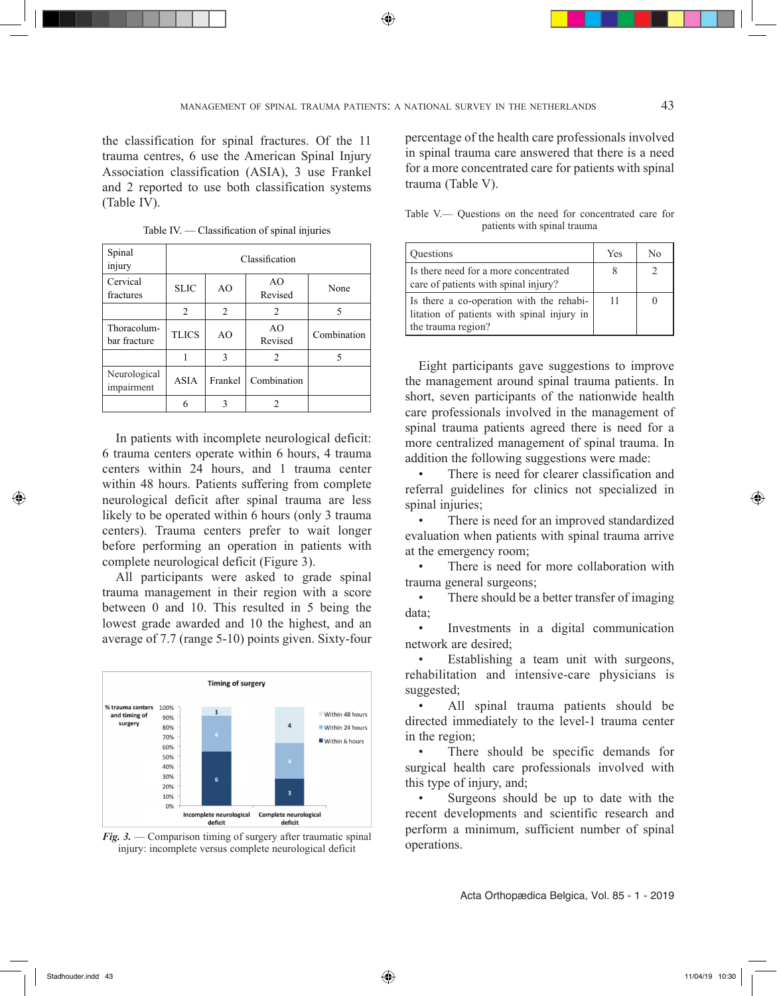⊕

the classification for spinal fractures. Of the 11 trauma centres, 6 use the American Spinal Injury Association classification (ASIA), 3 use Frankel and 2 reported to use both classification systems (Table IV).

| Spinal<br>injury            | Classification |                |                |             |  |  |
|-----------------------------|----------------|----------------|----------------|-------------|--|--|
| Cervical<br>fractures       | <b>SLIC</b>    | A <sub>O</sub> | AO.<br>Revised | None        |  |  |
|                             | 2              | 2              | $\overline{c}$ | 5           |  |  |
| Thoracolum-<br>bar fracture | <b>TLICS</b>   | A <sub>O</sub> | AO<br>Revised  | Combination |  |  |
|                             | 1              | 3              | 2              |             |  |  |
| Neurological<br>impairment  | <b>ASIA</b>    | Frankel        | Combination    |             |  |  |
|                             | 6              | 3              | 2              |             |  |  |

Table IV. — Classification of spinal injuries

In patients with incomplete neurological deficit: 6 trauma centers operate within 6 hours, 4 trauma centers within 24 hours, and 1 trauma center within 48 hours. Patients suffering from complete neurological deficit after spinal trauma are less likely to be operated within 6 hours (only 3 trauma centers). Trauma centers prefer to wait longer before performing an operation in patients with complete neurological deficit (Figure 3).

All participants were asked to grade spinal trauma management in their region with a score between 0 and 10. This resulted in 5 being the lowest grade awarded and 10 the highest, and an average of 7.7 (range 5-10) points given. Sixty-four





percentage of the health care professionals involved in spinal trauma care answered that there is a need for a more concentrated care for patients with spinal trauma (Table V).

|                             |  |  |  |  |  |  | Table V— Ouestions on the need for concentrated care for |  |  |
|-----------------------------|--|--|--|--|--|--|----------------------------------------------------------|--|--|
| patients with spinal trauma |  |  |  |  |  |  |                                                          |  |  |

| <b>Ouestions</b>                                                                       | Yes | No |
|----------------------------------------------------------------------------------------|-----|----|
| Is there need for a more concentrated<br>care of patients with spinal injury?          |     |    |
| Is there a co-operation with the rehabi-<br>litation of patients with spinal injury in | 11  |    |
| the trauma region?                                                                     |     |    |

Eight participants gave suggestions to improve the management around spinal trauma patients. In short, seven participants of the nationwide health care professionals involved in the management of spinal trauma patients agreed there is need for a more centralized management of spinal trauma. In addition the following suggestions were made:

There is need for clearer classification and referral guidelines for clinics not specialized in spinal injuries;

There is need for an improved standardized evaluation when patients with spinal trauma arrive at the emergency room;

There is need for more collaboration with trauma general surgeons;

• There should be a better transfer of imaging data;

• Investments in a digital communication network are desired;<br>Fetablishing

Establishing a team unit with surgeons, rehabilitation and intensive-care physicians is suggested;

All spinal trauma patients should be directed immediately to the level-1 trauma center in the region;

There should be specific demands for surgical health care professionals involved with this type of injury, and;

Surgeons should be up to date with the recent developments and scientific research and perform a minimum, sufficient number of spinal operations.

Acta Orthopædica Belgica, Vol. 85 - 1 - 2019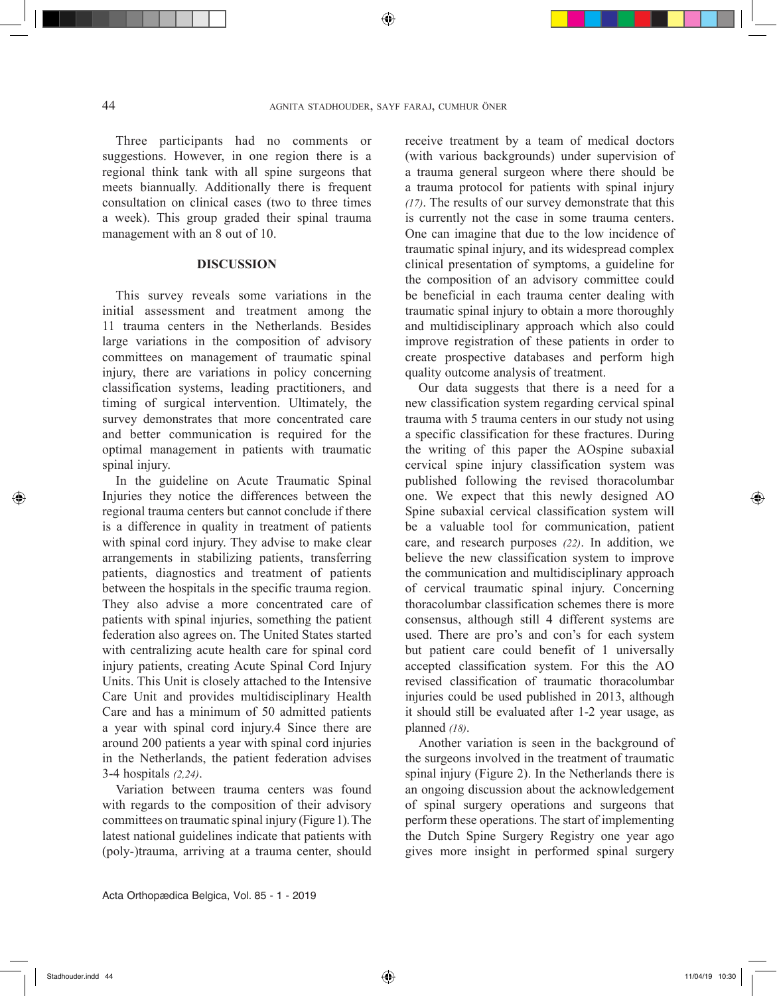Three participants had no comments or suggestions. However, in one region there is a regional think tank with all spine surgeons that meets biannually. Additionally there is frequent consultation on clinical cases (two to three times a week). This group graded their spinal trauma management with an 8 out of 10.

## **DISCUSSION**

This survey reveals some variations in the initial assessment and treatment among the 11 trauma centers in the Netherlands. Besides large variations in the composition of advisory committees on management of traumatic spinal injury, there are variations in policy concerning classification systems, leading practitioners, and timing of surgical intervention. Ultimately, the survey demonstrates that more concentrated care and better communication is required for the optimal management in patients with traumatic spinal injury.

In the guideline on Acute Traumatic Spinal Injuries they notice the differences between the regional trauma centers but cannot conclude if there is a difference in quality in treatment of patients with spinal cord injury. They advise to make clear arrangements in stabilizing patients, transferring patients, diagnostics and treatment of patients between the hospitals in the specific trauma region. They also advise a more concentrated care of patients with spinal injuries, something the patient federation also agrees on. The United States started with centralizing acute health care for spinal cord injury patients, creating Acute Spinal Cord Injury Units. This Unit is closely attached to the Intensive Care Unit and provides multidisciplinary Health Care and has a minimum of 50 admitted patients a year with spinal cord injury.4 Since there are around 200 patients a year with spinal cord injuries in the Netherlands, the patient federation advises 3-4 hospitals *(2,24)*.

Variation between trauma centers was found with regards to the composition of their advisory committees on traumatic spinal injury (Figure 1). The latest national guidelines indicate that patients with (poly-)trauma, arriving at a trauma center, should

receive treatment by a team of medical doctors (with various backgrounds) under supervision of a trauma general surgeon where there should be a trauma protocol for patients with spinal injury *(17)*. The results of our survey demonstrate that this is currently not the case in some trauma centers. One can imagine that due to the low incidence of traumatic spinal injury, and its widespread complex clinical presentation of symptoms, a guideline for the composition of an advisory committee could be beneficial in each trauma center dealing with traumatic spinal injury to obtain a more thoroughly and multidisciplinary approach which also could improve registration of these patients in order to create prospective databases and perform high quality outcome analysis of treatment.

Our data suggests that there is a need for a new classification system regarding cervical spinal trauma with 5 trauma centers in our study not using a specific classification for these fractures. During the writing of this paper the AOspine subaxial cervical spine injury classification system was published following the revised thoracolumbar one. We expect that this newly designed AO Spine subaxial cervical classification system will be a valuable tool for communication, patient care, and research purposes *(22)*. In addition, we believe the new classification system to improve the communication and multidisciplinary approach of cervical traumatic spinal injury. Concerning thoracolumbar classification schemes there is more consensus, although still 4 different systems are used. There are pro's and con's for each system but patient care could benefit of 1 universally accepted classification system. For this the AO revised classification of traumatic thoracolumbar injuries could be used published in 2013, although it should still be evaluated after 1-2 year usage, as planned *(18)*.

Another variation is seen in the background of the surgeons involved in the treatment of traumatic spinal injury (Figure 2). In the Netherlands there is an ongoing discussion about the acknowledgement of spinal surgery operations and surgeons that perform these operations. The start of implementing the Dutch Spine Surgery Registry one year ago gives more insight in performed spinal surgery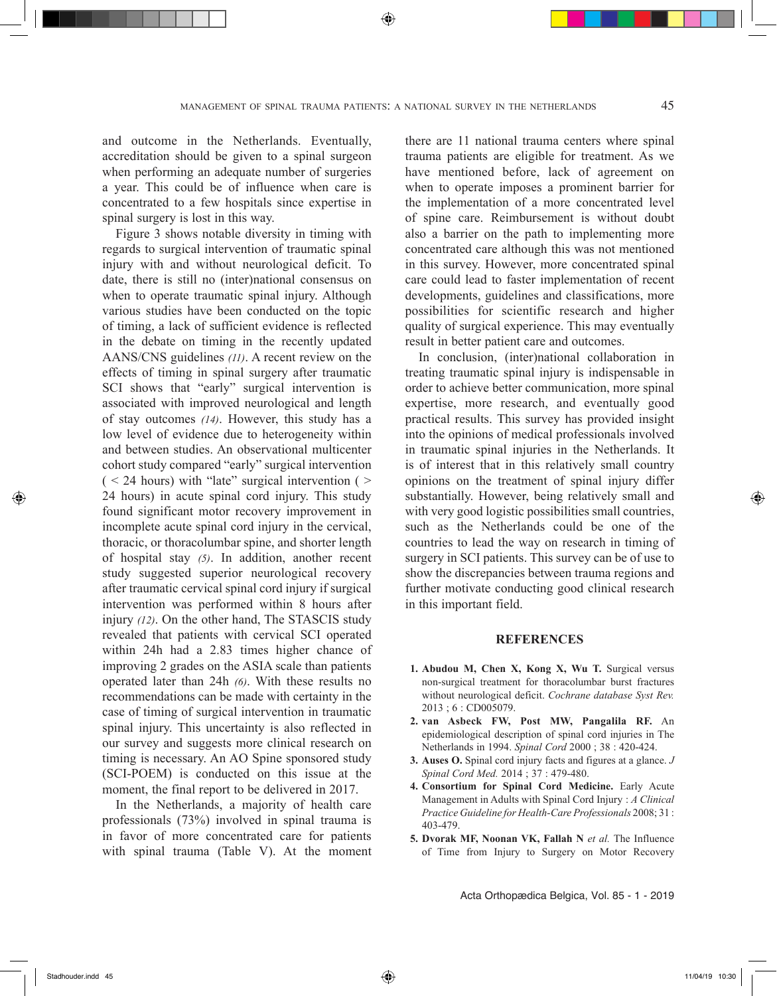and outcome in the Netherlands. Eventually, accreditation should be given to a spinal surgeon when performing an adequate number of surgeries a year. This could be of influence when care is concentrated to a few hospitals since expertise in spinal surgery is lost in this way.

Figure 3 shows notable diversity in timing with regards to surgical intervention of traumatic spinal injury with and without neurological deficit. To date, there is still no (inter)national consensus on when to operate traumatic spinal injury. Although various studies have been conducted on the topic of timing, a lack of sufficient evidence is reflected in the debate on timing in the recently updated AANS/CNS guidelines *(11)*. A recent review on the effects of timing in spinal surgery after traumatic SCI shows that "early" surgical intervention is associated with improved neurological and length of stay outcomes *(14)*. However, this study has a low level of evidence due to heterogeneity within and between studies. An observational multicenter cohort study compared "early" surgical intervention  $(< 24$  hours) with "late" surgical intervention ( $>$ 24 hours) in acute spinal cord injury. This study found significant motor recovery improvement in incomplete acute spinal cord injury in the cervical, thoracic, or thoracolumbar spine, and shorter length of hospital stay *(5)*. In addition, another recent study suggested superior neurological recovery after traumatic cervical spinal cord injury if surgical intervention was performed within 8 hours after injury *(12)*. On the other hand, The STASCIS study revealed that patients with cervical SCI operated within 24h had a 2.83 times higher chance of improving 2 grades on the ASIA scale than patients operated later than 24h *(6)*. With these results no recommendations can be made with certainty in the case of timing of surgical intervention in traumatic spinal injury. This uncertainty is also reflected in our survey and suggests more clinical research on timing is necessary. An AO Spine sponsored study (SCI-POEM) is conducted on this issue at the moment, the final report to be delivered in 2017.

In the Netherlands, a majority of health care professionals (73%) involved in spinal trauma is in favor of more concentrated care for patients with spinal trauma (Table V). At the moment

there are 11 national trauma centers where spinal trauma patients are eligible for treatment. As we have mentioned before, lack of agreement on when to operate imposes a prominent barrier for the implementation of a more concentrated level of spine care. Reimbursement is without doubt also a barrier on the path to implementing more concentrated care although this was not mentioned in this survey. However, more concentrated spinal care could lead to faster implementation of recent developments, guidelines and classifications, more possibilities for scientific research and higher quality of surgical experience. This may eventually result in better patient care and outcomes.

In conclusion, (inter)national collaboration in treating traumatic spinal injury is indispensable in order to achieve better communication, more spinal expertise, more research, and eventually good practical results. This survey has provided insight into the opinions of medical professionals involved in traumatic spinal injuries in the Netherlands. It is of interest that in this relatively small country opinions on the treatment of spinal injury differ substantially. However, being relatively small and with very good logistic possibilities small countries, such as the Netherlands could be one of the countries to lead the way on research in timing of surgery in SCI patients. This survey can be of use to show the discrepancies between trauma regions and further motivate conducting good clinical research in this important field.

## **REFERENCES**

- **1. Abudou M, Chen X, Kong X, Wu T.** Surgical versus non-surgical treatment for thoracolumbar burst fractures without neurological deficit. *Cochrane database Syst Rev.* 2013 ; 6 : CD005079.
- **2. van Asbeck FW, Post MW, Pangalila RF.** An epidemiological description of spinal cord injuries in The Netherlands in 1994. *Spinal Cord* 2000 ; 38 : 420-424.
- **3. Auses O.** Spinal cord injury facts and figures at a glance. *J Spinal Cord Med.* 2014 ; 37 : 479-480.
- **4. Consortium for Spinal Cord Medicine.** Early Acute Management in Adults with Spinal Cord Injury : *A Clinical Practice Guideline for Health-Care Professionals* 2008; 31 : 403-479.
- **5. Dvorak MF, Noonan VK, Fallah N** *et al.* The Influence of Time from Injury to Surgery on Motor Recovery

Acta Orthopædica Belgica, Vol. 85 - 1 - 2019

Stadhouder.indd 45 11/04/19 10:30